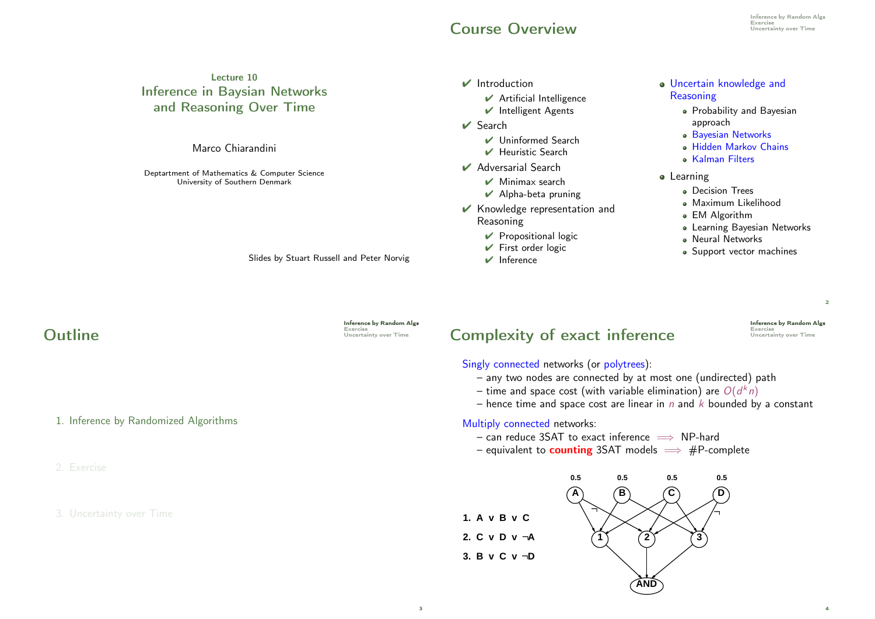#### **Course Overview**

#### Lecture 10 Inference in Baysian Networks and Reasoning Over Time Marco Chiarandini Deptartment of Mathematics & Computer Science University of Southern Denmark ✔ Introduction  $\vee$  Artificial Intelligence ✔ Intelligent Agents  $\vee$  Search ✔ Uninformed Search ✔ Heuristic Search ✔ Adversarial Search  $\vee$  Minimax search  $\vee$  Alpha-beta pruning Uncertain knowledge and **Reasoning** Probability and Bayesian approach Bayesian Networks Hidden Markov Chains **A** Kalman Filters **•** Learning **·** Decision Trees

Slides by Stuart Russell and Peter Norvig

Inference by Random Algs<br>Exercise<br>Uncertainty over Time

# Complexity of exact inference

Singly connected networks (or polytrees):

✔ Knowledge representation and

 $\vee$  Propositional logic  $\vee$  First order logic  $\vee$  Inference

Reasoning

- any two nodes are connected by at most one (undirected) path
- time and space cost (with variable elimination) are  $O(d^kn)$
- hence time and space cost are linear in  $n$  and  $k$  bounded by a constant

Multiply connected networks:

– can reduce 3SAT to exact inference  $\implies$  NP-hard

– equivalent to **counting** 3SAT models  $\implies$  #P-complete



Maximum Likelihood EM Algorithm

**• Neural Networks** 

Learning Bayesian Networks

• Support vector machines

**Inference by Random Algs<br>Exercise<br>Uncertainty over Time** 

 $\overline{2}$ 

4

**Outline** 

1. Inference by Randomized Algorithms

2. Exercise

#### 3. Uncertainty over Time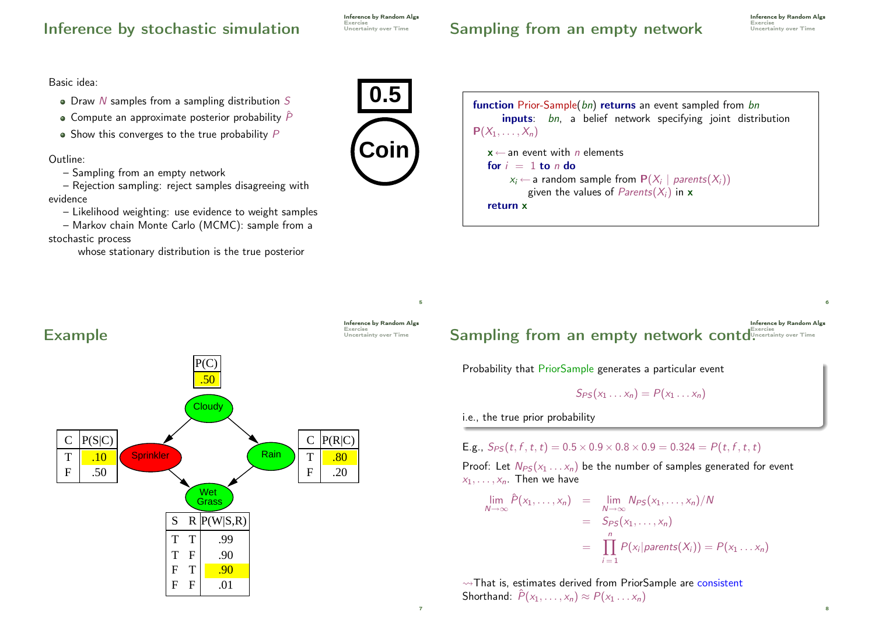#### Inference by stochastic simulation

Inference by Random Algs Exercise<br>Uncertainty over Time

## Sampling from an empty network Uncertainty over Time

Inference by Random Algs

8

Basic idea:

- $\bullet$  Draw N samples from a sampling distribution S
- Compute an approximate posterior probability  $\hat{P}$
- $\bullet$  Show this converges to the true probability  $P$

Outline:

– Sampling from an empty network

– Rejection sampling: reject samples disagreeing with evidence

– Likelihood weighting: use evidence to weight samples

– Markov chain Monte Carlo (MCMC): sample from a stochastic process

whose stationary distribution is the true posterior





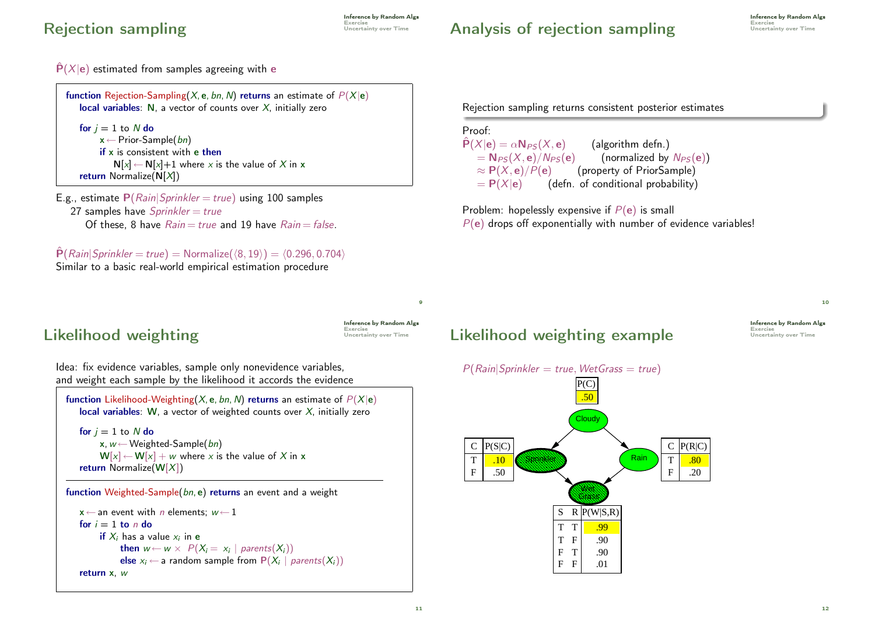### Rejection sampling Exercise Uncertainty over Time

**Inference by Random Algs**<br>Exercise

#### Analysis of rejection sampling Uncertainty over Time

 $\hat{P}(X|e)$  estimated from samples agreeing with e

```
function Rejection-Sampling(X, e, bn, N) returns an estimate of P(X|e)local variables: N, a vector of counts over X, initially zero
   for i = 1 to N do
        x \leftarrow Prior-Sample(bn)
        if x is consistent with e then
            N[x] \leftarrow N[x]+1 where x is the value of X in x
   return Normalize(N[X])
```

```
E.g., estimate P(Rain|Sprinkler = true) using 100 samples
   27 samples have Sprinkler = trueOf these, 8 have Rain = true and 19 have Rain = false.
```
 $\hat{P}(Rain|Sprinkler = true) = Normalize(\langle 8, 19 \rangle) = \langle 0.296, 0.704 \rangle$ Similar to a basic real-world empirical estimation procedure

Rejection sampling returns consistent posterior estimates

#### Proof:  $\hat{P}(X|e) = \alpha N_{PS}(X, e)$  (algorithm defn.)<br>=  $N_{PS}(X, e)/N_{PS}(e)$  (normalized by =  $N_{PS}(X, e)/N_{PS}(e)$  (normalized by  $N_{PS}(e)$ )<br>  $\approx P(X, e)/P(e)$  (property of PriorSample)  $\approx$  P(X, e)/P(e) (property of PriorSample)<br>= P(X|e) (defn. of conditional probability (defn. of conditional probability)

Problem: hopelessly expensive if  $P(e)$  is small  $P(e)$  drops off exponentially with number of evidence variables!

Inference by Random Algs

 $\overline{9}$ 

# Likelihood weighting Uncertainty over Time

Idea: fix evidence variables, sample only nonevidence variables, and weight each sample by the likelihood it accords the evidence

```
function Likelihood-Weighting(X, e, bn, N) returns an estimate of P(X|e)local variables: W, a vector of weighted counts over X, initially zero
```

```
for i = 1 to N do
     x, w \leftarrow Weighted-Sample(bn)
     W[x] \leftarrow W[x] + w where x is the value of X in x
return Normalize(W[X])
```
function Weighted-Sample(bn, e) returns an event and a weight

```
x \leftarrow an event with n elements: w \leftarrow 1for i = 1 to n do
       \boldsymbol{\mathsf{if}} X_i has a value x_i in \boldsymbol{\mathsf{e}}then w \leftarrow w \times P(X_i = x_i | parents(X_i))else x_i ← a random sample from P(X_i | parents(X_i))
return x, w
```
## Likelihood weighting example



10

**Inference by Random Algs<br>Exercise<br>Uncertainty over Time**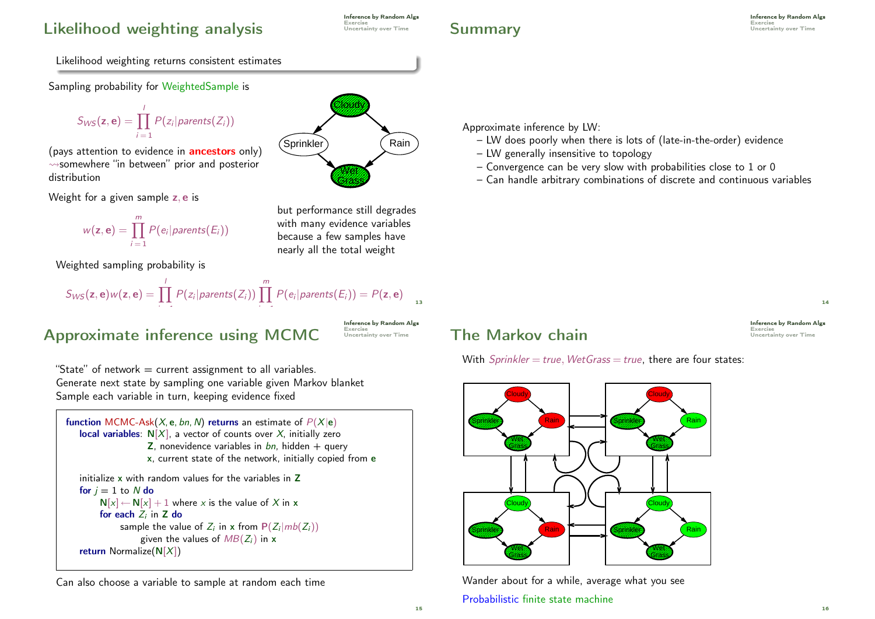## Likelihood weighting analysis **Likelihood** weighting

**Inference by Random Algs**<br>Exercise

# Summary Exercise Uncertainty over Time

Inference by Random Algs

Likelihood weighting returns consistent estimates

Sampling probability for WeightedSample is

$$
S_{WS}(\mathbf{z},\mathbf{e})=\prod_{i=1}^l P(z_i | parents(Z_i))
$$

(pays attention to evidence in **ancestors** only)  $\rightsquigarrow$ somewhere "in between" prior and posterior distribution

Weight for a given sample z, e is



Weighted sampling probability is

$$
S_{WS}(\mathbf{z},\mathbf{e})w(\mathbf{z},\mathbf{e})=\prod_{i=1}^l P(z_i|parents(Z_i))\prod_{i=1}^m P(e_i|parents(E_i))=P(\mathbf{z},\mathbf{e})_{13}
$$

# Approximate inference using MCMC

**Inference by Random Algs<br>Exercise<br>Uncertainty over Time** 

"State" of network  $=$  current assignment to all variables. Generate next state by sampling one variable given Markov blanket Sample each variable in turn, keeping evidence fixed

```
function MCMC-Ask(X, e, bn, N) returns an estimate of P(X|e)local variables: N[X], a vector of counts over X, initially zero
                   \overline{z}, nonevidence variables in bn, hidden + query
                   x, current state of the network, initially copied from e
   initialize x with random values for the variables in Z
   for j = 1 to N do
        N[x] \leftarrow N[x] + 1 where x is the value of X in x
        for each Z_i in Z do
             sample the value of Z_i in x from P(Z_i | mb(Z_i))given the values of MB(Z_i) in x
  return Normalize(N[X])
```
Can also choose a variable to sample at random each time



but performance still degrades with many evidence variables because a few samples have nearly all the total weight

Approximate inference by LW:

- LW does poorly when there is lots of (late-in-the-order) evidence
- LW generally insensitive to topology
- Convergence can be very slow with probabilities close to 1 or 0
- Can handle arbitrary combinations of discrete and continuous variables



14

16

**Inference by Random Algs<br>Exercise<br>Uncertainty over Time** 

## The Markov chain

With  $Sprinkler = true$ , WetGrass = true, there are four states:



Wander about for a while, average what you see Probabilistic finite state machine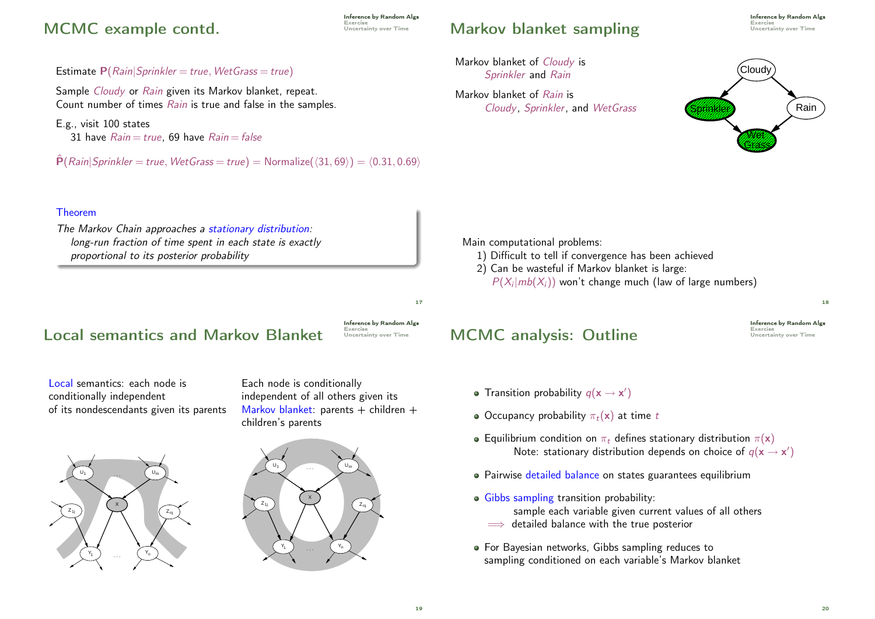#### MCMC example contd.

E.g., visit 100 states

Theorem

Estimate  $P(Rain|Sprinkler = true, WetGrass = true)$ 

31 have  $Rain = true$ , 69 have  $Rain = false$ 

proportional to its posterior probability

Sample Cloudy or Rain given its Markov blanket, repeat. Count number of times Rain is true and false in the samples.

 $\hat{P}(Rain|Sprinkler = true, WetGrass = true) = Normalize(\langle 31, 69 \rangle) = \langle 0.31, 0.69 \rangle$ 

**Inference by Random Algs**<br>Exercise

## Markov blanket sampling Markov blanket metalling

Cloudy, Sprinkler, and WetGrass

Markov blanket of Cloudy is Sprinkler and Rain

Markov blanket of Rain is

Inference by Random Algs

Cloudy Sprinkler (Rain Wet Grass

Main computational problems:

- 1) Difficult to tell if convergence has been achieved
- 2) Can be wasteful if Markov blanket is large:
	- $P(X_i | mb(X_i))$  won't change much (law of large numbers)

Local semantics and Markov Blanket

The Markov Chain approaches a stationary distribution: long-run fraction of time spent in each state is exactly

Local semantics: each node is conditionally independent of its nondescendants given its parents





Each node is conditionally

children's parents

independent of all others given its Markov blanket: parents + children +

### **MCMC analysis: Outline**

- Transition probability  $q(\mathbf{x} \rightarrow \mathbf{x}')$
- Occupancy probability  $\pi_t(\mathbf{x})$  at time t
- **•** Equilibrium condition on  $\pi_t$  defines stationary distribution  $\pi(\mathbf{x})$ Note: stationary distribution depends on choice of  $q(\textbf{x} \rightarrow \textbf{x}')$
- Pairwise detailed balance on states guarantees equilibrium
- Gibbs sampling transition probability: sample each variable given current values of all others  $\implies$  detailed balance with the true posterior
- For Bayesian networks, Gibbs sampling reduces to sampling conditioned on each variable's Markov blanket

Inference by Random Algs<br>Exercise<br>Uncertainty over Time

17

18

**Inference by Random Algs<br>Exercise<br>Uncertainty over Time**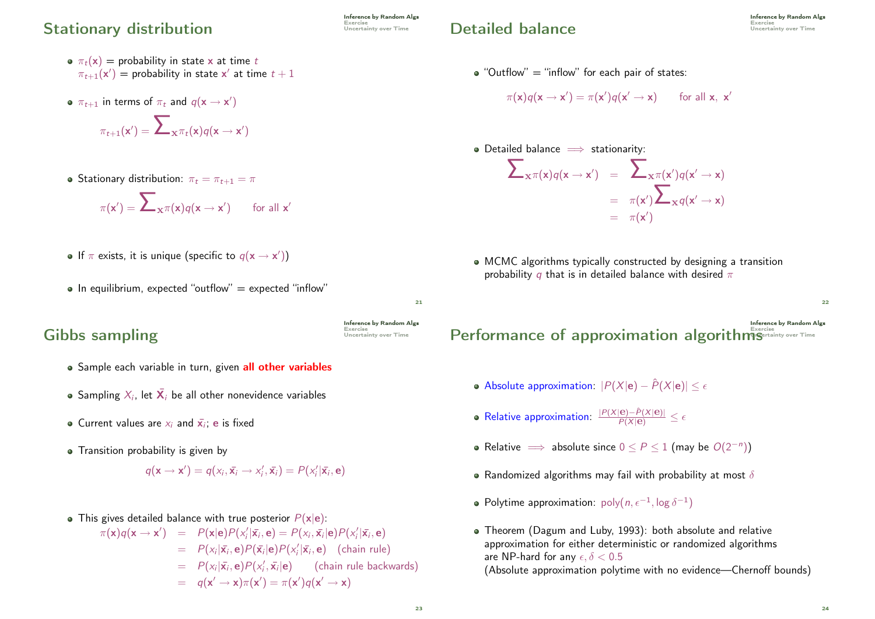#### Stationary distribution Station Besercise

- $\sigma \pi_t(\mathbf{x}) =$  probability in state x at time t  $\pi_{t+1}(\mathsf{x}') =$  probability in state  $\mathsf{x}'$  at time  $t+1$
- $\pi_{t+1}$  in terms of  $\pi_t$  and  $q(\mathbf{x} \rightarrow \mathbf{x}')$

$$
\pi_{t+1}(\mathbf{x}') = \sum\nolimits_{\mathbf{x}^{\pi_t}(\mathbf{x})} q(\mathbf{x} \to \mathbf{x}')
$$

• Stationary distribution:  $\pi_t = \pi_{t+1} = \pi$ 

$$
\pi(\mathbf{x}') = \sum\nolimits_{\mathbf{x}} \pi(\mathbf{x}) q(\mathbf{x} \to \mathbf{x}') \qquad \text{for all } \mathbf{x}'
$$

- If  $\pi$  exists, it is unique (specific to  $q(\mathbf{x} \rightarrow \mathbf{x}')$ )
- $\bullet$  In equilibrium, expected "outflow" = expected "inflow"

### Gibbs sampling

- Sample each variable in turn, given all other variables
- Sampling  $X_i$ , let  $\bar{\mathbf{X}}_i$  be all other nonevidence variables
- Current values are  $x_i$  and  $\bar{x_i}$ ; e is fixed
- Transition probability is given by

$$
q(\mathbf{x} \rightarrow \mathbf{x}') = q(x_i, \bar{\mathbf{x}}_i \rightarrow x'_i, \bar{\mathbf{x}}_i) = P(x'_i | \bar{\mathbf{x}}_i, \mathbf{e})
$$

• This gives detailed balance with true posterior  $P(x|e)$ :

 $\pi(\mathbf{x})q(\mathbf{x} \to \mathbf{x}') = P(\mathbf{x}|\mathbf{e})P(x'_i|\bar{\mathbf{x}_i}, \mathbf{e}) = P(x_i, \bar{\mathbf{x}_i}|\mathbf{e})P(x'_i|\bar{\mathbf{x}_i}, \mathbf{e})$  $= P(x_i|\bar{x}_i, e)P(\bar{x}_i|e)P(x_i'|\bar{x}_i, e)$  (chain rule)  $= P(x_i|\bar{\mathbf{x}_i}, \mathbf{e})P(x'_i, \bar{\mathbf{x}_i}|\mathbf{e})$  (chain rule backwards)  $= q(\mathbf{x}' \rightarrow \mathbf{x})\pi(\mathbf{x}') = \pi(\mathbf{x}')q(\mathbf{x}' \rightarrow \mathbf{x})$ 

## Detailed balance

 $\bullet$  "Outflow" = "inflow" for each pair of states:

$$
\pi(\mathbf{x})q(\mathbf{x} \to \mathbf{x}') = \pi(\mathbf{x}')q(\mathbf{x}' \to \mathbf{x}) \quad \text{for all } \mathbf{x}, \mathbf{x}'
$$

 $\bullet$  Detailed balance  $\implies$  stationarity:

$$
\sum_{\mathbf{x} \pi(\mathbf{x})q(\mathbf{x} \to \mathbf{x}')} = \sum_{\mathbf{x} \pi(\mathbf{x}')} q(\mathbf{x}' \to \mathbf{x})
$$
  
=  $\pi(\mathbf{x}') \sum_{\mathbf{x} \pi(\mathbf{x}' \to \mathbf{x})}$   
=  $\pi(\mathbf{x}')$ 

- MCMC algorithms typically constructed by designing a transition probability q that is in detailed balance with desired  $\pi$
- Inference by Random Algs Exercise Performance of approximation algorithmsUncertainty over Time
	- Absolute approximation:  $|P(X|\mathbf{e}) \hat{P}(X|\mathbf{e})| \leq \epsilon$
	- Relative approximation:  $\frac{|P(X|\mathbf{e}) \hat{P}(X|\mathbf{e})|}{P(X|\mathbf{e})} \leq \epsilon$
	- Relative  $\implies$  absolute since  $0 \le P \le 1$  (may be  $O(2^{-n})$ )
	- Randomized algorithms may fail with probability at most  $\delta$
	- Polytime approximation:  $\mathsf{poly}(n, \epsilon^{-1}, \log \delta^{-1})$
	- Theorem (Dagum and Luby, 1993): both absolute and relative approximation for either deterministic or randomized algorithms are NP-hard for any  $\epsilon, \delta < 0.5$ (Absolute approximation polytime with no evidence—Chernoff bounds)

 $21$ 

**Inference by Random Algs<br>Exercise<br>Uncertainty over Time**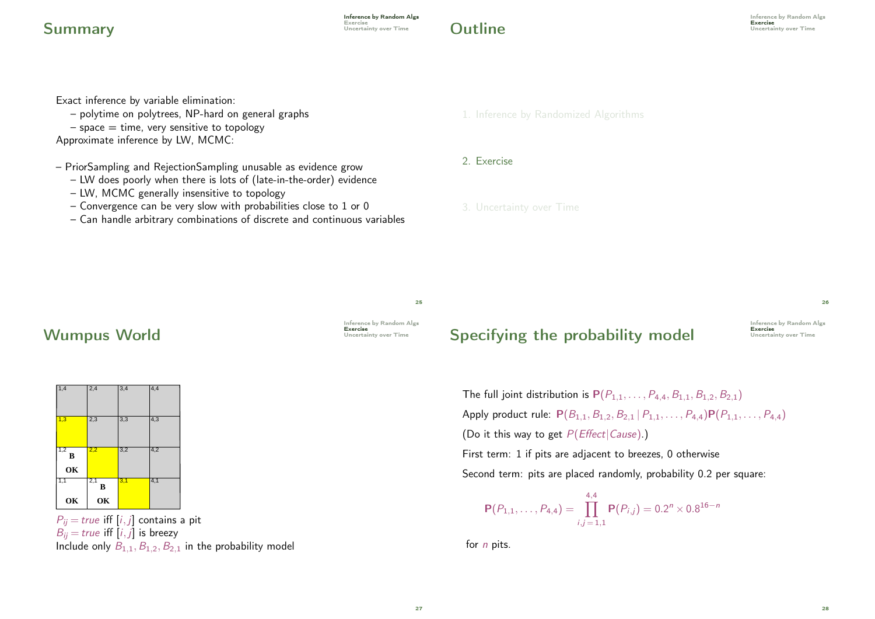#### **Summary** Exercise Uncertainty over Time

**Inference by Random Algs**<br>Exercise

# **Outline** Exercise Uncertainty over Time

Exact inference by variable elimination:

- polytime on polytrees, NP-hard on general graphs
- $-$  space  $=$  time, very sensitive to topology

Approximate inference by LW, MCMC:

– PriorSampling and RejectionSampling unusable as evidence grow

- LW does poorly when there is lots of (late-in-the-order) evidence
- LW, MCMC generally insensitive to topology
- Convergence can be very slow with probabilities close to 1 or 0
- Can handle arbitrary combinations of discrete and continuous variables

1. Inference by Randomized Algorithms

#### 2. Exercise

3. Uncertainty over Time

25

### Wumpus World **Uncertainty over Time**





 $P_{ij}$  = true iff [i, j] contains a pit  $B_{ii} = true$  iff  $[i, j]$  is breezy Include only  $B_{1,1}, B_{1,2}, B_{2,1}$  in the probability model

# Specifying the probability model Exercise

Inference by Random Algs<br>**Exercise** 

26

The full joint distribution is  $P(P_{1,1}, \ldots, P_{4,4}, B_{1,1}, B_{1,2}, B_{2,1})$ Apply product rule:  $P(B_{1,1}, B_{1,2}, B_{2,1} | P_{1,1}, \ldots, P_{4,4}) P(P_{1,1}, \ldots, P_{4,4})$ (Do it this way to get  $P(Effect|Cause).$ ) First term: 1 if pits are adjacent to breezes, 0 otherwise

Second term: pits are placed randomly, probability 0.2 per square:

$$
\mathbf{P}(P_{1,1},\ldots,P_{4,4})=\prod_{i,j=1,1}^{4,4}\mathbf{P}(P_{i,j})=0.2^{n}\times0.8^{16-n}
$$

for  $n$  pits.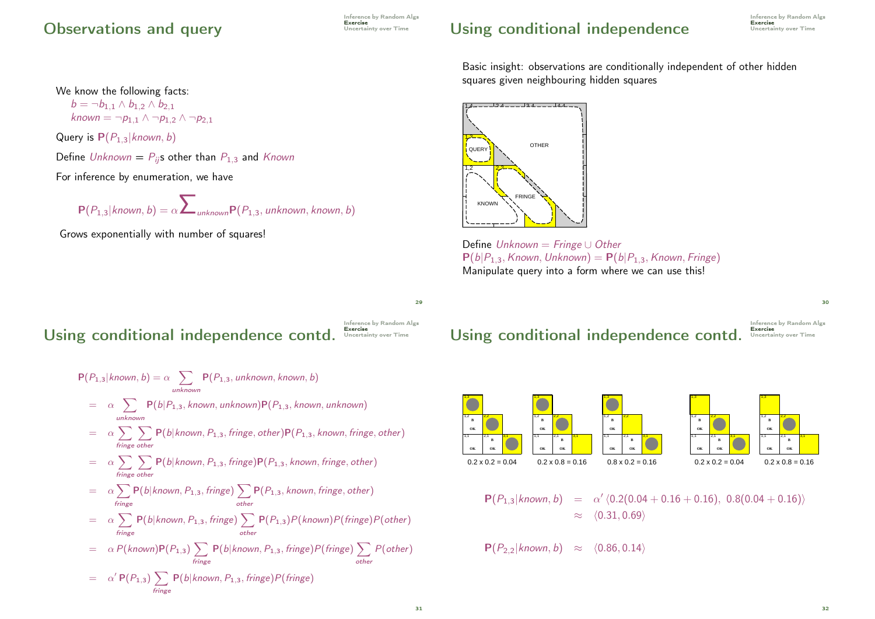#### Observations and query Exercise Uncertainty over Time

We know the following facts:  $b = \neg b_{1,1} \wedge b_{1,2} \wedge b_{2,1}$ 

Query is  $P(P_{1,3}|known, b)$ 

known  $= \neg p_{1,1} \wedge \neg p_{1,2} \wedge \neg p_{2,1}$ 

For inference by enumeration, we have

Inference by Random Algs<br>**Exercise** 

Basic insight: observations are conditionally independent of other hidden squares given neighbouring hidden squares



Define Unknown = Fringe ∪ Other  $P(b|P_{1,3},$  Known, Unknown) =  $P(b|P_{1,3},$  Known, Fringe) Manipulate query into a form where we can use this!

 $29$ 

## Using conditional independence contd.

Define Unknown =  $P_{ii}$ s other than  $P_{1,3}$  and Known

Grows exponentially with number of squares!

 $P(P_{1,3}|known, b) = \alpha \sum_{unknown} P(P_{1,3}, unknown, known, b)$ 



$$
P(P_{1,3}|known, b) = \alpha \sum_{unknown} P(P_{1,3}, unknown, known, b)
$$
  
\n
$$
= \alpha \sum_{unknown} P(b|P_{1,3}, known, unknown)P(P_{1,3}, known, unknown)
$$
  
\n
$$
= \alpha \sum_{inknown} P(b|known, P_{1,3}, fringe, other)P(P_{1,3}, known, fringe, other)
$$
  
\n
$$
= \alpha \sum_{fringe} \sum_{other} P(b|known, P_{1,3}, fringe)P(P_{1,3}, known, fringe, other)
$$
  
\n
$$
= \alpha \sum_{fringe} P(b|known, P_{1,3}, fringe) \sum_{other} P(P_{1,3}, known, fringe, other)
$$
  
\n
$$
= \alpha \sum_{fringe} P(b|known, P_{1,3}, fringe) \sum_{other} P(P_{1,3})P(known)P(fringe)P(other)
$$
  
\n
$$
= \alpha P(known)P(P_{1,3}) \sum_{fringe} P(b|known, P_{1,3}, fringe)P(fringe) \sum_{other} P(other)
$$
  
\n
$$
= \alpha' P(P_{1,3}) \sum_{fringe} P(b|known, P_{1,3}, fringe)P(fringe)
$$

Using conditional independence contd.

Inference by Random Algs<br>Exercise<br>Uncertainty over Time

30



 $P(P_{1,3}|known, b) = \alpha' \langle 0.2(0.04 + 0.16 + 0.16), 0.8(0.04 + 0.16) \rangle$  $\approx \langle 0.31, 0.69 \rangle$ 

 $P(P_{2,2}|known, b) \approx \langle 0.86, 0.14 \rangle$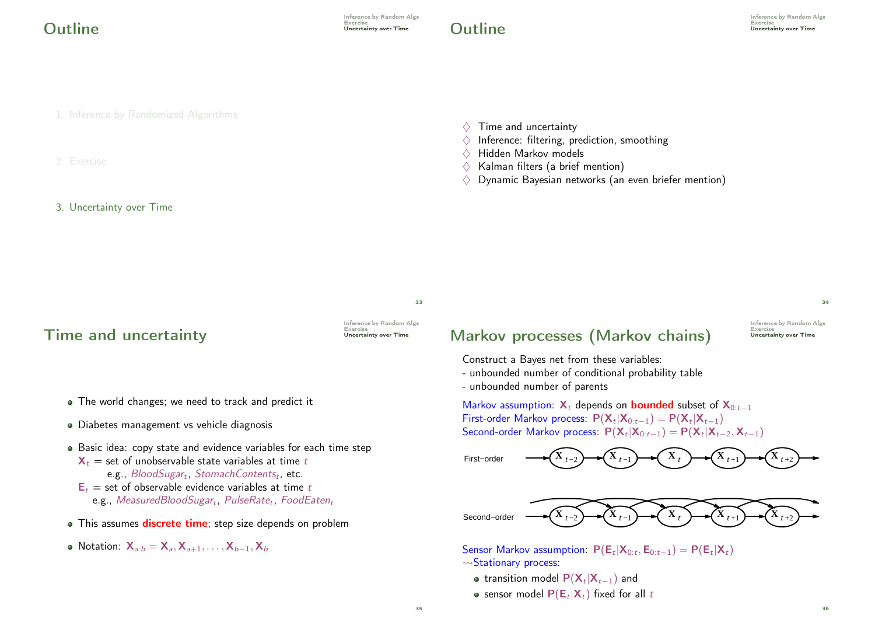# **Outline** Uncertainty over Time

1. Inference by Randomized Algorithms

#### 2. Exercise

#### 3. Uncertainty over Time

- $\Diamond$  Time and uncertainty
- $\Diamond$  Inference: filtering, prediction, smoothing
- $\diamondsuit$  Hidden Markov models<br> $\diamondsuit$  Kalman filters (a brief r
- Kalman filters (a brief mention)
- $\Diamond$  Dynamic Bayesian networks (an even briefer mention)

33

#### Time and uncertainty

Inference by Random Algs<br>Exercise<br>**Uncertainty over Time** 

- The world changes; we need to track and predict it
- Diabetes management vs vehicle diagnosis
- Basic idea: copy state and evidence variables for each time step  $X_t$  = set of unobservable state variables at time t
	- e.g.,  $\mathcal{B}$ lood $\mathcal{S}$ ugar<sub>t</sub>, StomachContents<sub>t</sub>, etc.
	- $E_t$  = set of observable evidence variables at time t  $\mathsf{e.g.},\ Measured$ Blood $S$ ugar $_t,\ P$ ulse $R$ at $e_t,\ F$ ood $E$ ate $n_t$
- This assumes discrete time; step size depends on problem
- Notation:  $X_{a:b} = X_{a}$ ,  $X_{a+1}, \ldots, X_{b-1}$ ,  $X_b$

## Markov processes (Markov chains)

Inference by Random Algs<br>Exercise<br>Uncertainty over Time

34

36

Construct a Bayes net from these variables:

- unbounded number of conditional probability table
- unbounded number of parents

Markov assumption:  $X_t$  depends on **bounded** subset of  $X_{0:t-1}$ First-order Markov process:  $P(X_t|X_{0:t-1}) = P(X_t|X_{t-1})$ Second-order Markov process:  $P(X_t|X_{0:t-1}) = P(X_t|X_{t-2}, X_{t-1})$ 

**X** *<sup>t</sup>* −1 **X** *<sup>t</sup>* −2 **X** *<sup>t</sup>* **X** *<sup>t</sup>* +1 First−order **X** *<sup>t</sup>* +2



Sensor Markov assumption:  $P(E_t|X_{0:t}, E_{0:t-1}) = P(E_t|X_t)$  $\rightsquigarrow$ Stationary process:

- transition model  $P(\mathsf{X}_t|\mathsf{X}_{t-1})$  and
- sensor model  $P(E_t|X_t)$  fixed for all t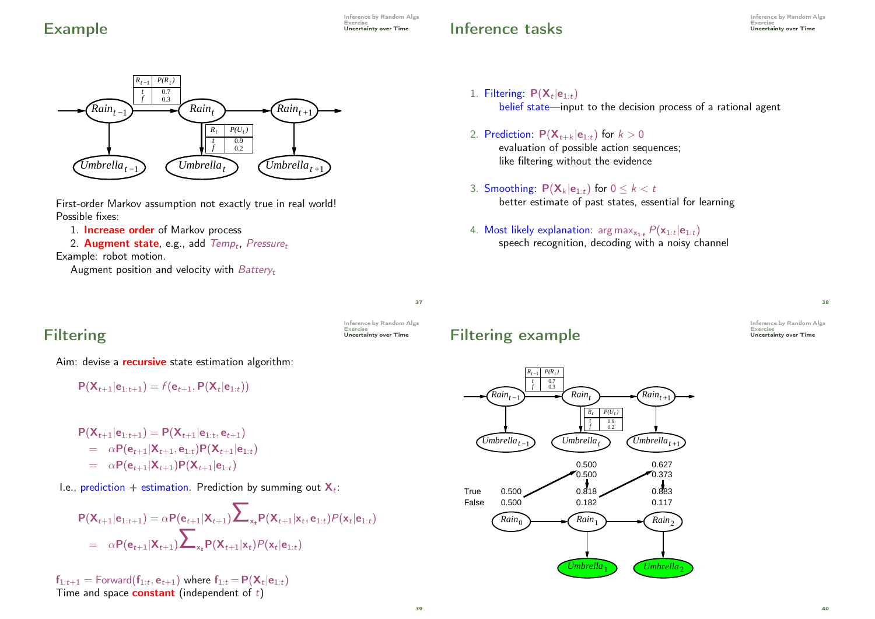Inference by Random Algs

## Inference tasks

Inference by Random Algs Exercise<br>Uncertainty over Time



First-order Markov assumption not exactly true in real world! Possible fixes:

1. **Increase order** of Markov process

2. Augment state, e.g., add *Temp<sub>t</sub>, Pressure<sub>t</sub>* 

Example: robot motion.

Augment position and velocity with  $Battery_t$ 

#### 1. Filtering:  $P(X_t|e_{1:t})$ belief state—input to the decision process of a rational agent

- 2. Prediction:  $P(X_{t+k} | e_{1:t})$  for  $k > 0$ evaluation of possible action sequences; like filtering without the evidence
- 3. Smoothing:  $P(X_k | e_{1:t})$  for  $0 \le k < t$ better estimate of past states, essential for learning
- 4. Most likely explanation:  $\arg \max_{\mathbf{x}_{1:t}} P(\mathbf{x}_{1:t}|\mathbf{e}_{1:t})$ speech recognition, decoding with a noisy channel

37

Inference by Random Algs<br>Exercise<br>**Uncertainty over Time** 

# **Filtering**

Aim: devise a **recursive** state estimation algorithm:

$$
P(X_{t+1}|e_{1:t+1}) = f(e_{t+1}, P(X_t|e_{1:t}))
$$

$$
P(\mathbf{X}_{t+1}|\mathbf{e}_{1:t+1}) = P(\mathbf{X}_{t+1}|\mathbf{e}_{1:t}, \mathbf{e}_{t+1})
$$
  
=  $\alpha P(\mathbf{e}_{t+1}|\mathbf{X}_{t+1}, \mathbf{e}_{1:t}) P(\mathbf{X}_{t+1}|\mathbf{e}_{1:t})$   
=  $\alpha P(\mathbf{e}_{t+1}|\mathbf{X}_{t+1}) P(\mathbf{X}_{t+1}|\mathbf{e}_{1:t})$ 

I.e., prediction + estimation. Prediction by summing out  $\mathbf{X}_t$ :

$$
P(X_{t+1}|e_{1:t+1}) = \alpha P(e_{t+1}|X_{t+1}) \sum_{x_t} P(X_{t+1}|x_t, e_{1:t}) P(x_t|e_{1:t})
$$
  
=  $\alpha P(e_{t+1}|X_{t+1}) \sum_{x_t} P(X_{t+1}|x_t) P(x_t|e_{1:t})$ 

 ${\mathsf f}_{1:t+1} = {\mathsf{Forward}}({\mathsf f}_{1:t}, {\mathsf e}_{t+1})$  where  ${\mathsf f}_{1:t} \!=\! {\mathsf P}({\mathsf X}_t|{\mathsf e}_{1:t})$ Time and space **constant** (independent of  $t$ )

## Filtering example

Inference by Random Algs<br>Exercise<br>Uncertainty over Time